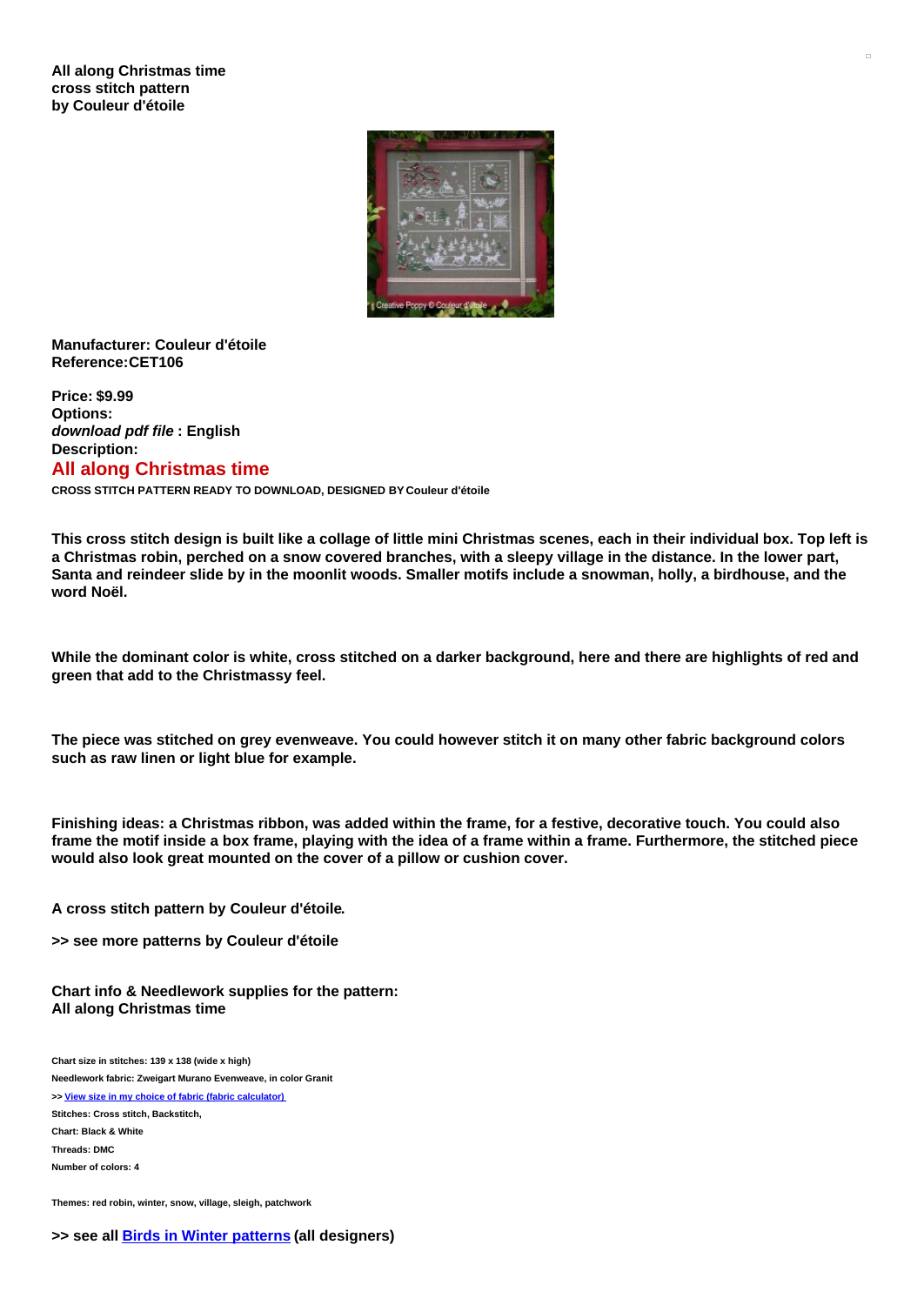

## **Manufacturer: Couleur d'étoile Reference:CET106**

**Price: \$9.99 Options:** *download pdf file* **: English Description: All along Christmas time**

**CROSS STITCH PATTERN READY TO DOWNLOAD, DESIGNED BY Couleur d'étoile**

This cross stitch design is built like a collage of little mini Christmas scenes, each in their individual box. Top left is a Christmas robin, perched on a snow covered branches, with a sleepy village in the distance. In the lower part, Santa and reindeer slide by in the moonlit woods. Smaller motifs include a snowman, holly, a birdhouse, and the **word Noël.**

While the dominant color is white, cross stitched on a darker background, here and there are highlights of red and **green that add to the Christmassy feel.**

The piece was stitched on grey evenweave. You could however stitch it on many other fabric background colors **such as raw linen or light blue for example.**

Finishing ideas: a Christmas ribbon, was added within the frame, for a festive, decorative touch. You could also frame the motif inside a box frame, playing with the idea of a frame within a frame. Furthermore, the stitched piece **would also look great mounted on the cover of a pillow or cushion cover.**

**A cross stitch pattern by Couleur d'étoile.**

**>> see more patterns by Couleur d'étoile**

**Chart info & Needlework supplies for the pattern: All along Christmas time**

**Chart size in stitches: 139 x 138 (wide x high) Needlework fabric: Zweigart Murano Evenweave, in color Granit**

**>> View size in my choice of fabric (fabric [calculator\)](https://www.creativepoppypatterns.com/calculette-de-toile.php?products_id=3626&w=139&h=138) Stitches: Cross stitch, Backstitch, Chart: Black & White Threads: DMC Number of colors: 4**

**Themes: red robin, winter, snow, village, sleigh, patchwork**

## **>> see all Birds in Winter [patterns](https://www.creativepoppypatterns.com/winter-christmas-bird-cross-stitch-pattern-xsl-207_409_652.html) (all designers)**